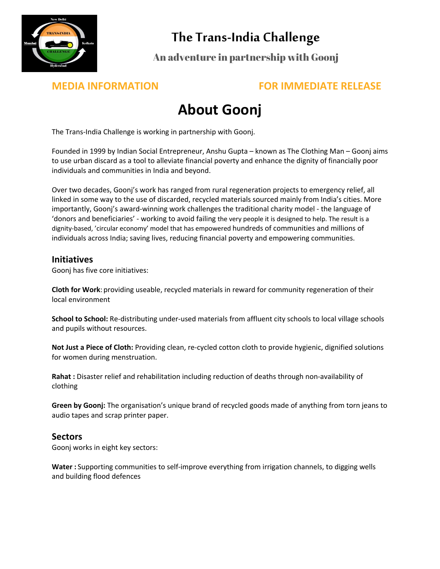

## **The Trans-India Challenge**

An adventure in partnership with Goonj

### **MEDIA INFORMATION FOR IMMEDIATE RELEASE**

# **About Goonj**

The Trans-India Challenge is working in partnership with Goonj.

Founded in 1999 by Indian Social Entrepreneur, Anshu Gupta – known as The Clothing Man – Goonj aims to use urban discard as a tool to alleviate financial poverty and enhance the dignity of financially poor individuals and communities in India and beyond.

Over two decades, Goonj's work has ranged from rural regeneration projects to emergency relief, all linked in some way to the use of discarded, recycled materials sourced mainly from India's cities. More importantly, Goonj's award-winning work challenges the traditional charity model - the language of 'donors and beneficiaries' - working to avoid failing the very people it is designed to help. The result is a dignity-based, 'circular economy' model that has empowered hundreds of communities and millions of individuals across India; saving lives, reducing financial poverty and empowering communities.

### **Initiatives**

Goonj has five core initiatives:

**Cloth for Work**: providing useable, recycled materials in reward for community regeneration of their local environment

**School to School:** Re-distributing under-used materials from affluent city schools to local village schools and pupils without resources.

**Not Just a Piece of Cloth:** Providing clean, re-cycled cotton cloth to provide hygienic, dignified solutions for women during menstruation.

**Rahat :** Disaster relief and rehabilitation including reduction of deaths through non-availability of clothing

**Green by Goonj:** The organisation's unique brand of recycled goods made of anything from torn jeans to audio tapes and scrap printer paper.

#### **Sectors**

Goonj works in eight key sectors:

**Water :** Supporting communities to self-improve everything from irrigation channels, to digging wells and building flood defences